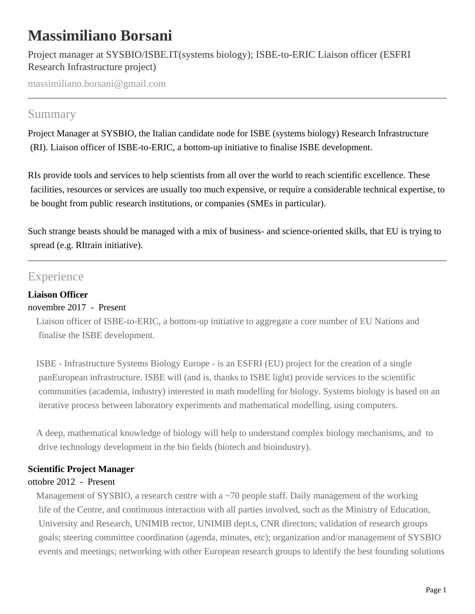# **Massimiliano Borsani**

Project manager at SYSBIO/ISBE.IT(systems biology); ISBE-to-ERIC Liaison officer (ESFRI Research Infrastructure project)

massimiliano.borsani@gmail.com

### Summary

Project Manager at SYSBIO, the Italian candidate node for ISBE (systems biology) Research Infrastructure (RI). Liaison officer of ISBE-to-ERIC, a bottom-up initiative to finalise ISBE development.

RIs provide tools and services to help scientists from all over the world to reach scientific excellence. These facilities, resources or services are usually too much expensive, or require a considerable technical expertise, to be bought from public research institutions, or companies (SMEs in particular).

Such strange beasts should be managed with a mix of business- and science-oriented skills, that EU is trying to spread (e.g. RItrain initiative).

## Experience

#### **Liaison Officer**

#### novembre 2017 - Present

Liaison officer of ISBE-to-ERIC, a bottom-up initiative to aggregate a core number of EU Nations and finalise the ISBE development.

ISBE - Infrastructure Systems Biology Europe - is an ESFRI (EU) project for the creation of a single panEuropean infrastructure. ISBE will (and is, thanks to ISBE light) provide services to the scientific communities (academia, industry) interested in math modelling for biology. Systems biology is based on an iterative process between laboratory experiments and mathematical modelling, using computers.

A deep, mathematical knowledge of biology will help to understand complex biology mechanisms, and to drive technology development in the bio fields (biotech and bioindustry).

#### **Scientific Project Manager**

#### ottobre 2012 - Present

Management of SYSBIO, a research centre with a  $\sim$ 70 people staff. Daily management of the working life of the Centre, and continuous interaction with all parties involved, such as the Ministry of Education, University and Research, UNIMIB rector, UNIMIB dept.s, CNR directors; validation of research groups goals; steering committee coordination (agenda, minutes, etc); organization and/or management of SYSBIO events and meetings; networking with other European research groups to identify the best founding solutions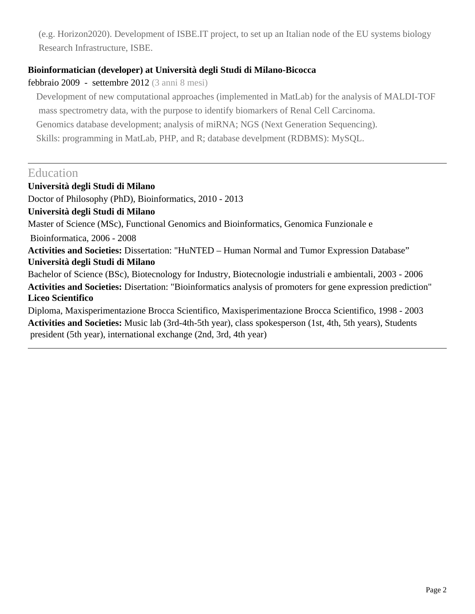(e.g. Horizon2020). Development of ISBE.IT project, to set up an Italian node of the EU systems biology Research Infrastructure, ISBE.

#### **Bioinformatician (developer) at Università degli Studi di Milano-Bicocca**

#### febbraio 2009 - settembre 2012 (3 anni 8 mesi)

Development of new computational approaches (implemented in MatLab) for the analysis of MALDI-TOF mass spectrometry data, with the purpose to identify biomarkers of Renal Cell Carcinoma. Genomics database development; analysis of miRNA; NGS (Next Generation Sequencing). Skills: programming in MatLab, PHP, and R; database develpment (RDBMS): MySQL.

### Education

**Università degli Studi di Milano** Doctor of Philosophy (PhD), Bioinformatics, 2010 - 2013 **Università degli Studi di Milano** Master of Science (MSc), Functional Genomics and Bioinformatics, Genomica Funzionale e Bioinformatica, 2006 - 2008 **Activities and Societies:** Dissertation: "HuNTED – Human Normal and Tumor Expression Database" **Università degli Studi di Milano** Bachelor of Science (BSc), Biotecnology for Industry, Biotecnologie industriali e ambientali, 2003 - 2006 **Activities and Societies:** Disertation: "Bioinformatics analysis of promoters for gene expression prediction" **Liceo Scientifico** Diploma, Maxisperimentazione Brocca Scientifico, Maxisperimentazione Brocca Scientifico, 1998 - 2003 **Activities and Societies:** Music lab (3rd-4th-5th year), class spokesperson (1st, 4th, 5th years), Students president (5th year), international exchange (2nd, 3rd, 4th year)